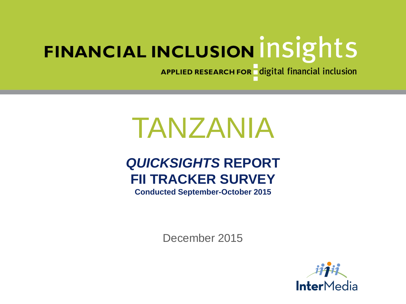APPLIED RESEARCH FOR digital financial inclusion

# TANZANIA

# *QUICKSIGHTS* **REPORT FII TRACKER SURVEY**

**Conducted September-October 2015**

December 2015

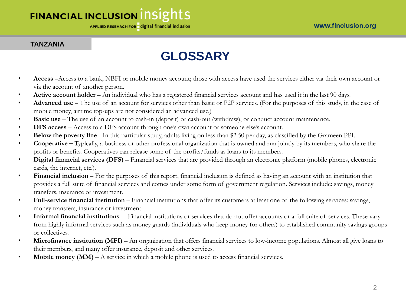APPLIED RESEARCH FOR digital financial inclusion

#### **TANZANIA**

# **GLOSSARY**

- **Access** –Access to a bank, NBFI or mobile money account; those with access have used the services either via their own account or via the account of another person.
- **Active account holder** An individual who has a registered financial services account and has used it in the last 90 days.
- **Advanced use** The use of an account for services other than basic or P2P services. (For the purposes of this study, in the case of mobile money, airtime top-ups are not considered an advanced use.)
- **Basic use**  The use of an account to cash-in (deposit) or cash-out (withdraw), or conduct account maintenance.
- **DFS access** Access to a DFS account through one's own account or someone else's account.
- **Below the poverty line**  In this particular study, adults living on less than \$2.50 per day, as classified by the Grameen PPI.
- **Cooperative –** Typically, a business or other professional organization that is owned and run jointly by its members, who share the profits or benefits. Cooperatives can release some of the profits/funds as loans to its members.
- **Digital financial services (DFS)** Financial services that are provided through an electronic platform (mobile phones, electronic cards, the internet, etc.).
- **Financial inclusion** For the purposes of this report, financial inclusion is defined as having an account with an institution that provides a full suite of financial services and comes under some form of government regulation. Services include: savings, money transfers, insurance or investment.
- **Full-service financial institution** Financial institutions that offer its customers at least one of the following services: savings, money transfers, insurance or investment.
- **Informal financial institutions**  Financial institutions or services that do not offer accounts or a full suite of services. These vary from highly informal services such as money guards (individuals who keep money for others) to established community savings groups or collectives.
- Microfinance institution (MFI) An organization that offers financial services to low-income populations. Almost all give loans to their members, and many offer insurance, deposit and other services.
- **Mobile money (MM)** A service in which a mobile phone is used to access financial services.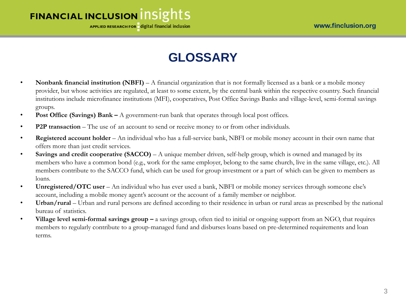APPLIED RESEARCH FOR digital financial inclusion

# **GLOSSARY**

- **Nonbank financial institution (NBFI)**  A financial organization that is not formally licensed as a bank or a mobile money provider, but whose activities are regulated, at least to some extent, by the central bank within the respective country. Such financial institutions include microfinance institutions (MFI), cooperatives, Post Office Savings Banks and village-level, semi-formal savings groups.
- **Post Office (Savings) Bank –** A government-run bank that operates through local post offices.
- **P2P transaction** The use of an account to send or receive money to or from other individuals.
- **Registered account holder**  An individual who has a full-service bank, NBFI or mobile money account in their own name that offers more than just credit services.
- **Savings and credit cooperative (SACCO)**  A unique member driven, self-help group, which is owned and managed by its members who have a common bond (e.g., work for the same employer, belong to the same church, live in the same village, etc.). All members contribute to the SACCO fund, which can be used for group investment or a part of which can be given to members as loans.
- **Unregistered/OTC user** An individual who has ever used a bank, NBFI or mobile money services through someone else's account, including a mobile money agent's account or the account of a family member or neighbor.
- **Urban/rural**  Urban and rural persons are defined according to their residence in urban or rural areas as prescribed by the national bureau of statistics.
- **Village level semi-formal savings group –** a savings group, often tied to initial or ongoing support from an NGO, that requires members to regularly contribute to a group-managed fund and disburses loans based on pre-determined requirements and loan terms.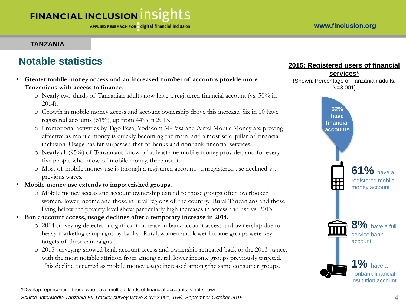#### **TANZANIA**

### **Notable statistics**

- **Greater mobile money access and an increased number of accounts provide more Tanzanians with access to finance.** 
	- o Nearly two-thirds of Tanzanian adults now have a registered financial account (vs. 50% in 2014).
	- o Growth in mobile money access and account ownership drove this increase. Six in 10 have registered accounts (61%), up from 44% in 2013.
	- o Promotional activities by Tigo Pesa, Vodacom M-Pesa and Airtel Mobile Money are proving effective as mobile money is quickly becoming the main, and almost sole, pillar of financial inclusion. Usage has far surpassed that of banks and nonbank financial services.
	- o Nearly all (95%) of Tanzanians know of at least one mobile money provider, and for every five people who know of mobile money, three use it.
	- o Most of mobile money use is through a registered account. Unregistered use declined vs. previous waves.
- **Mobile money use extends to impoverished groups.**
	- o Mobile money access and account ownership extend to those groups often overlooked‒‒ women, lower income and those in rural regions of the country. Rural Tanzanians and those living below the poverty level show particularly high increases in access and use vs. 2013.
- **Bank account access, usage declines after a temporary increase in 2014.**
	- o 2014 surveying detected a significant increase in bank account access and ownership due to heavy marketing campaigns by banks. Rural, women and lower income groups were key targets of these campaigns.
	- o 2015 surveying showed bank account access and ownership retreated back to the 2013 stance, with the most notable attrition from among rural, lower income groups previously targeted. This decline occurred as mobile money usage increased among the same consumer groups.

\*Overlap representing those who have multiple kinds of financial accounts is not shown. *Source: InterMedia Tanzania FII Tracker survey Wave 3 (N=3,001, 15+), September-October 2015.*

#### **2015: Registered users of financial**

**services\*** (Shown: Percentage of Tanzanian adults, N=3,001)

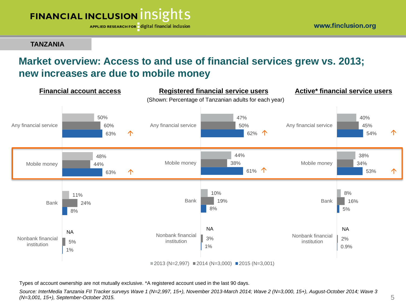

**TANZANIA**

# **Market overview: Access to and use of financial services grew vs. 2013; new increases are due to mobile money**



Types of account ownership are not mutually exclusive. \*A registered account used in the last 90 days.

*Source: InterMedia Tanzania FII Tracker surveys Wave 1 (N=2,997, 15+), November 2013-March 2014; Wave 2 (N=3,000, 15+), August-October 2014; Wave 3 (N=3,001, 15+), September-October 2015.*

www.finclusion.org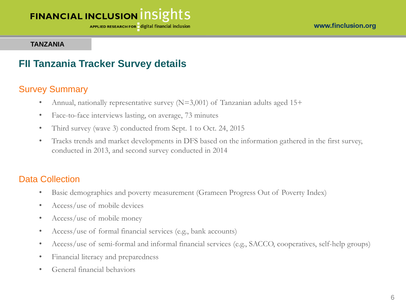APPLIED RESEARCH FOR digital financial inclusion

#### **TANZANIA**

### **FII Tanzania Tracker Survey details**

### Survey Summary

- Annual, nationally representative survey  $(N=3,001)$  of Tanzanian adults aged 15+
- Face-to-face interviews lasting, on average, 73 minutes
- Third survey (wave 3) conducted from Sept. 1 to Oct. 24, 2015
- Tracks trends and market developments in DFS based on the information gathered in the first survey, conducted in 2013, and second survey conducted in 2014

#### Data Collection

- Basic demographics and poverty measurement (Grameen Progress Out of Poverty Index)
- Access/use of mobile devices
- Access/use of mobile money
- Access/use of formal financial services (e.g., bank accounts)
- Access/use of semi-formal and informal financial services (e.g., SACCO, cooperatives, self-help groups)
- Financial literacy and preparedness
- General financial behaviors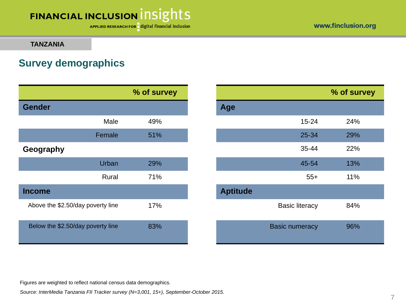APPLIED RESEARCH FOR digital financial inclusion

www.finclusion.org

#### **TANZANIA**

## **Survey demographics**

|                                   |        | % of survey |                 |                       |
|-----------------------------------|--------|-------------|-----------------|-----------------------|
| <b>Gender</b>                     |        |             | Age             |                       |
|                                   | Male   | 49%         |                 | $15 - 24$             |
|                                   | Female | 51%         |                 | 25-34                 |
| Geography                         |        |             |                 | 35-44                 |
|                                   | Urban  | 29%         |                 | 45-54                 |
|                                   | Rural  | 71%         |                 | $55+$                 |
| <b>Income</b>                     |        |             | <b>Aptitude</b> |                       |
| Above the \$2.50/day poverty line |        | 17%         |                 | <b>Basic literacy</b> |
| Below the \$2.50/day poverty line |        | 83%         |                 | <b>Basic numeracy</b> |

|           | % of survey |                 |                       | % of survey |
|-----------|-------------|-----------------|-----------------------|-------------|
|           |             | Age             |                       |             |
| Male      | 49%         |                 | $15 - 24$             | 24%         |
| Female    | 51%         |                 | 25-34                 | 29%         |
|           |             |                 | 35-44                 | 22%         |
| Urban     | 29%         |                 | 45-54                 | 13%         |
| Rural     | 71%         |                 | $55+$                 | 11%         |
|           |             | <b>Aptitude</b> |                       |             |
| erty line | 17%         |                 | <b>Basic literacy</b> | 84%         |
| erty line | 83%         |                 | <b>Basic numeracy</b> | 96%         |

Figures are weighted to reflect national census data demographics.

*Source: InterMedia Tanzania FII Tracker survey (N=3,001, 15+), September-October 2015.*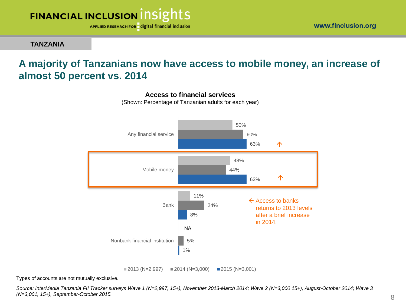

**TANZANIA**

### **A majority of Tanzanians now have access to mobile money, an increase of almost 50 percent vs. 2014**



**Access to financial services**

(Shown: Percentage of Tanzanian adults for each year)

Types of accounts are not mutually exclusive.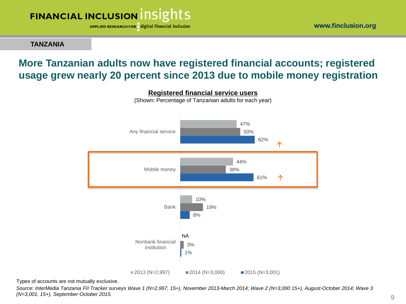

APPLIED RESEARCH FOR digital financial inclusion

**TANZANIA**

# **More Tanzanian adults now have registered financial accounts; registered usage grew nearly 20 percent since 2013 due to mobile money registration**



**Registered financial service users** (Shown: Percentage of Tanzanian adults for each year)

Types of accounts are not mutually exclusive.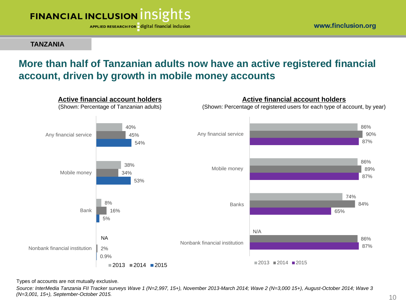

**TANZANIA**

# **More than half of Tanzanian adults now have an active registered financial account, driven by growth in mobile money accounts**



Types of accounts are not mutually exclusive.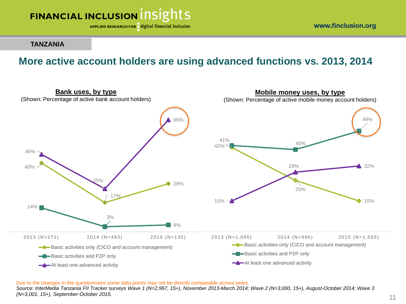

www.finclusion.org

**TANZANIA**

### **More active account holders are using advanced functions vs. 2013, 2014**



Due to the changes in the questionnaire some data points may not be directly comparable across years.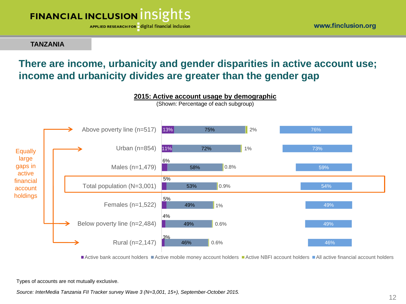

**TANZANIA**

## **There are income, urbanicity and gender disparities in active account use; income and urbanicity divides are greater than the gender gap**



Active bank account holders Active mobile money account holders Active NBFI account holders All active financial account holders

Types of accounts are not mutually exclusive.

*Source: InterMedia Tanzania FII Tracker survey Wave 3 (N=3,001, 15+), September-October 2015.*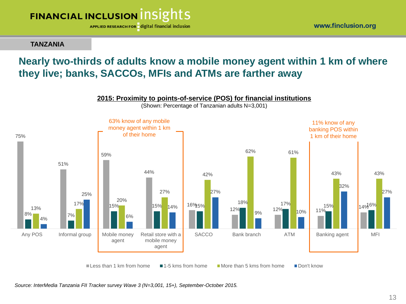

**TANZANIA**

### **Nearly two-thirds of adults know a mobile money agent within 1 km of where they live; banks, SACCOs, MFIs and ATMs are farther away**

#### **2015: Proximity to points-of-service (POS) for financial institutions**

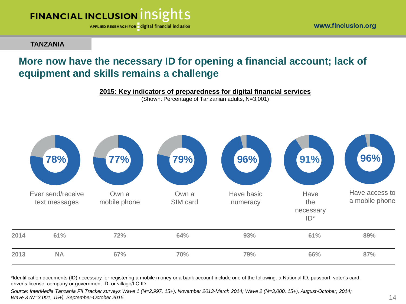

**TANZANIA**

# **More now have the necessary ID for opening a financial account; lack of equipment and skills remains a challenge**

**2015: Key indicators of preparedness for digital financial services** 

(Shown: Percentage of Tanzanian adults, N=3,001)



\*Identification documents (ID) necessary for registering a mobile money or a bank account include one of the following: a National ID, passport, voter's card, driver's license, company or government ID, or village/LC ID.

*Source: InterMedia Tanzania FII Tracker surveys Wave 1 (N=2,997, 15+), November 2013-March 2014; Wave 2 (N=3,000, 15+), August-October, 2014; Wave 3 (N=3,001, 15+), September-October 2015.*

www.finclusion.org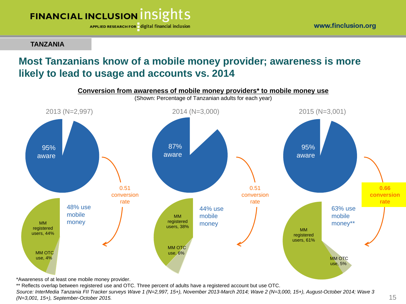

**TANZANIA**

# **Most Tanzanians know of a mobile money provider; awareness is more likely to lead to usage and accounts vs. 2014**



\*Awareness of at least one mobile money provider.

\*\* Reflects overlap between registered use and OTC. Three percent of adults have a registered account but use OTC. *Source: InterMedia Tanzania FII Tracker surveys Wave 1 (N=2,997, 15+), November 2013-March 2014; Wave 2 (N=3,000, 15+), August-October 2014; Wave 3 (N=3,001, 15+), September-October 2015.*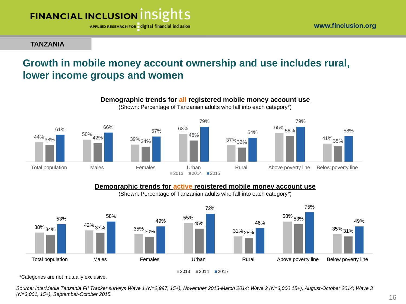

#### **TANZANIA**

# **Growth in mobile money account ownership and use includes rural, lower income groups and women**



**Demographic trends for active registered mobile money account use** 

(Shown: Percentage of Tanzanian adults who fall into each category\*)



\*Categories are not mutually exclusive.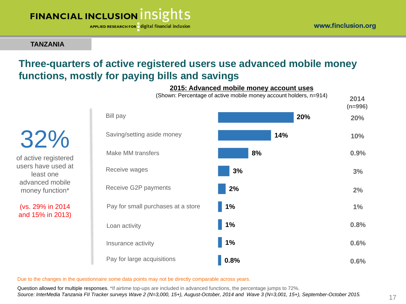APPLIED RESEARCH FOR digital financial inclusion

**TANZANIA**

least one

## **Three-quarters of active registered users use advanced mobile money functions, mostly for paying bills and savings**



Due to the changes in the questionnaire some data points may not be directly comparable across years.

Question allowed for multiple responses. \*If airtime top-ups are included in advanced functions, the percentage jumps to 72%. *Source: InterMedia Tanzania FII Tracker surveys Wave 2 (N=3,000, 15+), August-October, 2014 and Wave 3 (N=3,001, 15+), September-October 2015.*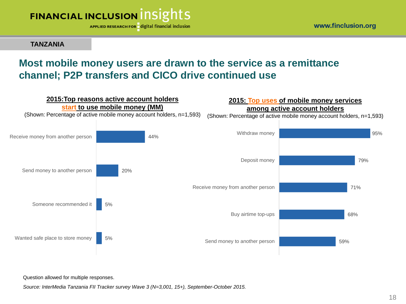

**TANZANIA**

# **Most mobile money users are drawn to the service as a remittance channel; P2P transfers and CICO drive continued use**



Question allowed for multiple responses.

*Source: InterMedia Tanzania FII Tracker survey Wave 3 (N=3,001, 15+), September-October 2015.*

www.finclusion.org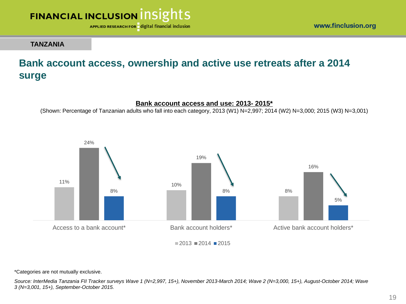

www.finclusion.org

#### **TANZANIA**

# **Bank account access, ownership and active use retreats after a 2014 surge**

#### **Bank account access and use: 2013- 2015\***

(Shown: Percentage of Tanzanian adults who fall into each category, 2013 (W1) N=2,997; 2014 (W2) N=3,000; 2015 (W3) N=3,001)



\*Categories are not mutually exclusive.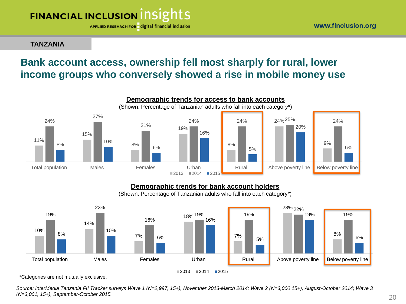APPLIED RESEARCH FOR digital financial inclusion

#### **TANZANIA**

# **Bank account access, ownership fell most sharply for rural, lower income groups who conversely showed a rise in mobile money use**



#### **Demographic trends for bank account holders**

(Shown: Percentage of Tanzanian adults who fall into each category\*)



\*Categories are not mutually exclusive.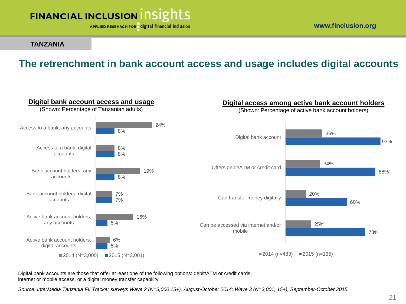

www.finclusion.org

#### **TANZANIA**

# **The retrenchment in bank account access and usage includes digital accounts**



Digital bank accounts are those that offer at least one of the following options: debit/ATM or credit cards, internet or mobile access, or a digital money transfer capability.

*Source: InterMedia Tanzania FII Tracker surveys Wave 2 (N=3,000 15+), August-October 2014; Wave 3 (N=3,001, 15+), September-October 2015.*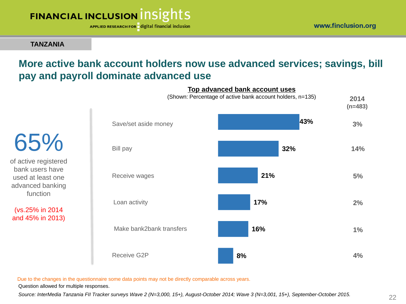APPLIED RESEARCH FOR digital financial inclusion

**TANZANIA**

65%

of active registered bank users have used at least one advanced banking function

(vs.25% in 2014 and 45% in 2013)

# **More active bank account holders now use advanced services; savings, bill pay and payroll dominate advanced use**

**43% 32% 21% 17% 16% 8%** Save/set aside money Bill pay Receive wages Make bank2bank transfers Loan activity Receive G2P **2014 3% 2% 1% 4% 14% 5% Top advanced bank account uses** (Shown: Percentage of active bank account holders, n=135)

Due to the changes in the questionnaire some data points may not be directly comparable across years.

Question allowed for multiple responses.

*Source: InterMedia Tanzania FII Tracker surveys Wave 2 (N=3,000, 15+), August-October 2014; Wave 3 (N=3,001, 15+), September-October 2015.*

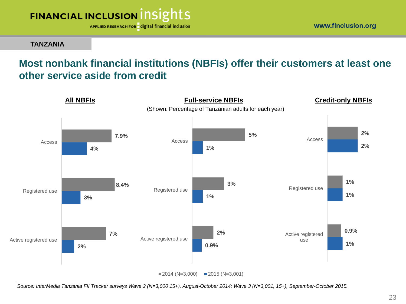

**TANZANIA**

### **Most nonbank financial institutions (NBFIs) offer their customers at least one other service aside from credit**



*Source: InterMedia Tanzania FII Tracker surveys Wave 2 (N=3,000 15+), August-October 2014; Wave 3 (N=3,001, 15+), September-October 2015.*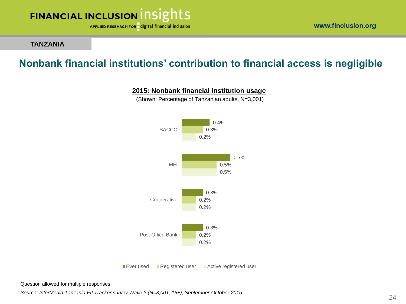

www.finclusion.org

#### **TANZANIA**

## **Nonbank financial institutions' contribution to financial access is negligible**



(Shown: Percentage of Tanzanian adults, N=3,001)



Question allowed for multiple responses.

*Source: InterMedia Tanzania FII Tracker survey Wave 3 (N=3,001, 15+), September-October 2015.*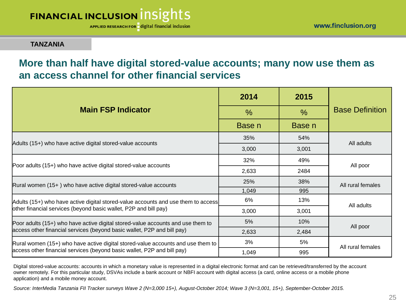APPLIED RESEARCH FOR digital financial inclusion

#### **TANZANIA**

### **More than half have digital stored-value accounts; many now use them as an access channel for other financial services**

|                                                                                   | 2014   | 2015          | <b>Base Definition</b> |  |
|-----------------------------------------------------------------------------------|--------|---------------|------------------------|--|
| <b>Main FSP Indicator</b>                                                         | $\%$   | $\frac{0}{0}$ |                        |  |
|                                                                                   | Base n | Base n        |                        |  |
|                                                                                   | 35%    | 54%           | All adults             |  |
| Adults (15+) who have active digital stored-value accounts                        | 3,000  | 3,001         |                        |  |
|                                                                                   | 32%    | 49%           | All poor               |  |
| Poor adults (15+) who have active digital stored-value accounts                   | 2,633  | 2484          |                        |  |
| Rural women (15+) who have active digital stored-value accounts                   | 25%    | 38%           | All rural females      |  |
|                                                                                   | 1,049  | 995           |                        |  |
| Adults (15+) who have active digital stored-value accounts and use them to access | 6%     | 13%           | All adults             |  |
| other financial services (beyond basic wallet, P2P and bill pay)                  | 3,000  | 3,001         |                        |  |
| Poor adults (15+) who have active digital stored-value accounts and use them to   | 5%     | 10%           | All poor               |  |
| access other financial services (beyond basic wallet, P2P and bill pay)           | 2,633  | 2,484         |                        |  |
| Rural women (15+) who have active digital stored-value accounts and use them to   | 3%     | 5%            | All rural females      |  |
| access other financial services (beyond basic wallet, P2P and bill pay)           | 1,049  | 995           |                        |  |

Digital stored-value accounts: accounts in which a monetary value is represented in a digital electronic format and can be retrieved/transferred by the account owner remotely. For this particular study, DSVAs include a bank account or NBFI account with digital access (a card, online access or a mobile phone application) and a mobile money account.

*Source: InterMedia Tanzania FII Tracker surveys Wave 2 (N=3,000 15+), August-October 2014; Wave 3 (N=3,001, 15+), September-October 2015.*